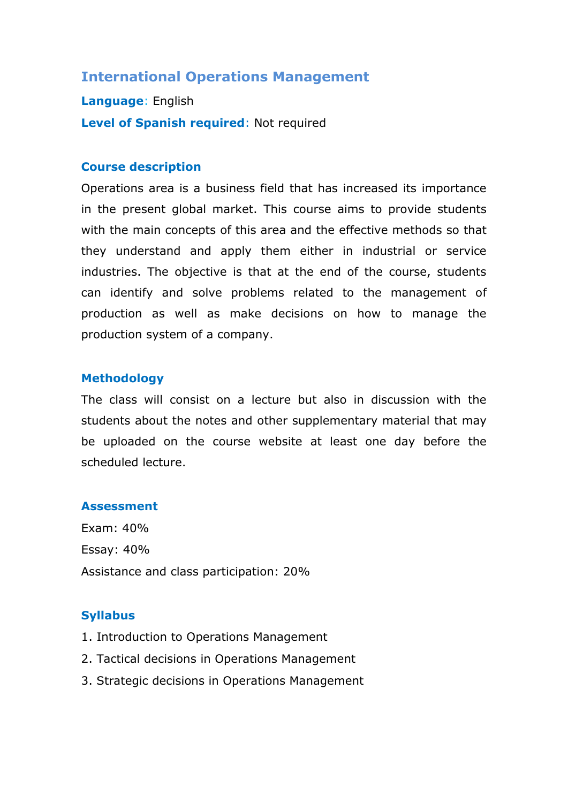# **International Operations Management**

**Language**: English **Level of Spanish required**: Not required

### **Course description**

Operations area is a business field that has increased its importance in the present global market. This course aims to provide students with the main concepts of this area and the effective methods so that they understand and apply them either in industrial or service industries. The objective is that at the end of the course, students can identify and solve problems related to the management of production as well as make decisions on how to manage the production system of a company.

### **Methodology**

The class will consist on a lecture but also in discussion with the students about the notes and other supplementary material that may be uploaded on the course website at least one day before the scheduled lecture.

#### **Assessment**

Exam: 40% Essay: 40% Assistance and class participation: 20%

### **Syllabus**

- 1. Introduction to Operations Management
- 2. Tactical decisions in Operations Management
- 3. Strategic decisions in Operations Management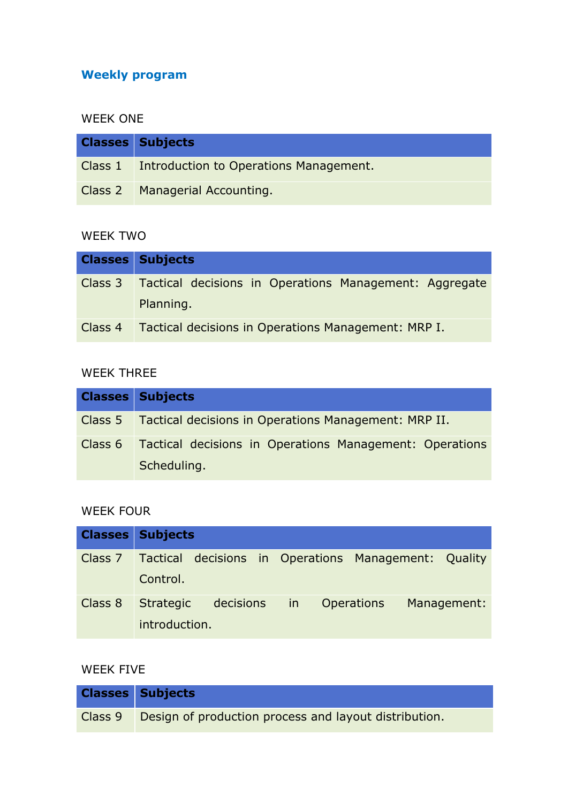# **Weekly program**

### WEEK ONE

| <b>Classes Subjects</b>                        |
|------------------------------------------------|
| Class 1 Introduction to Operations Management. |
| Class 2   Managerial Accounting.               |

# WEEK TWO

| <b>Classes Subjects</b>                                        |
|----------------------------------------------------------------|
| Class 3 Tactical decisions in Operations Management: Aggregate |
| Planning.                                                      |
| Class 4 Tactical decisions in Operations Management: MRP I.    |

# WEEK THREE

| <b>Classes Subjects</b>                                                        |
|--------------------------------------------------------------------------------|
| Class 5 Tactical decisions in Operations Management: MRP II.                   |
| Class 6 Tactical decisions in Operations Management: Operations<br>Scheduling. |

# WEEK FOUR

|         | <b>Classes Subjects</b>                                                 |
|---------|-------------------------------------------------------------------------|
| Class 7 | Tactical decisions in Operations Management: Quality<br>Control.        |
| Class 8 | decisions<br>Strategic<br>in Operations<br>Management:<br>introduction. |

# WEEK FIVE

| <b>Classes Subjects</b>                                       |
|---------------------------------------------------------------|
| Class 9 Design of production process and layout distribution. |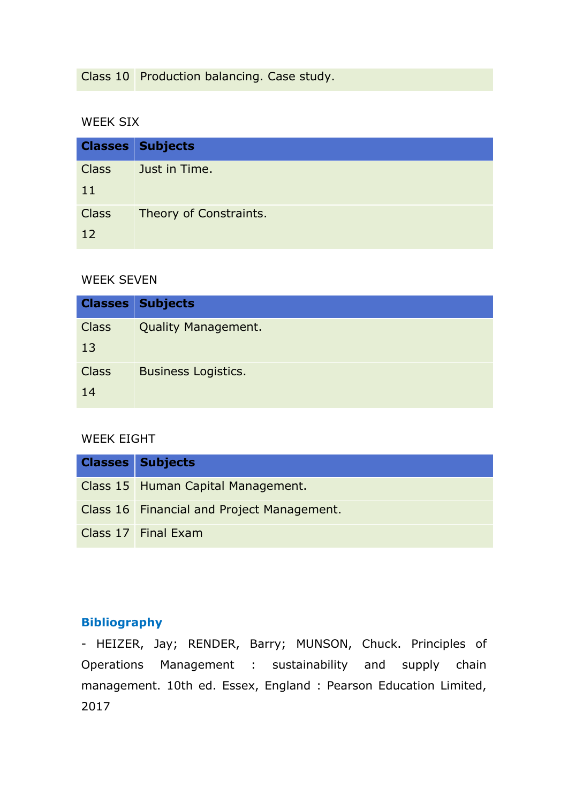Class 10 Production balancing. Case study.

### WEEK SIX

|              | <b>Classes Subjects</b> |
|--------------|-------------------------|
| <b>Class</b> | Just in Time.           |
| 11           |                         |
| <b>Class</b> | Theory of Constraints.  |
| 12           |                         |

### WEEK SEVEN

| <b>Classes</b>     | <b>Subjects</b>            |
|--------------------|----------------------------|
| <b>Class</b><br>13 | <b>Quality Management.</b> |
| <b>Class</b><br>14 | <b>Business Logistics.</b> |

### WEEK EIGHT

| <b>Classes Subjects</b>                    |
|--------------------------------------------|
| Class 15 Human Capital Management.         |
| Class 16 Financial and Project Management. |
| Class 17 Final Exam                        |

# **Bibliography**

- HEIZER, Jay; RENDER, Barry; MUNSON, Chuck. Principles of Operations Management : sustainability and supply chain management. 10th ed. Essex, England : Pearson Education Limited, 2017